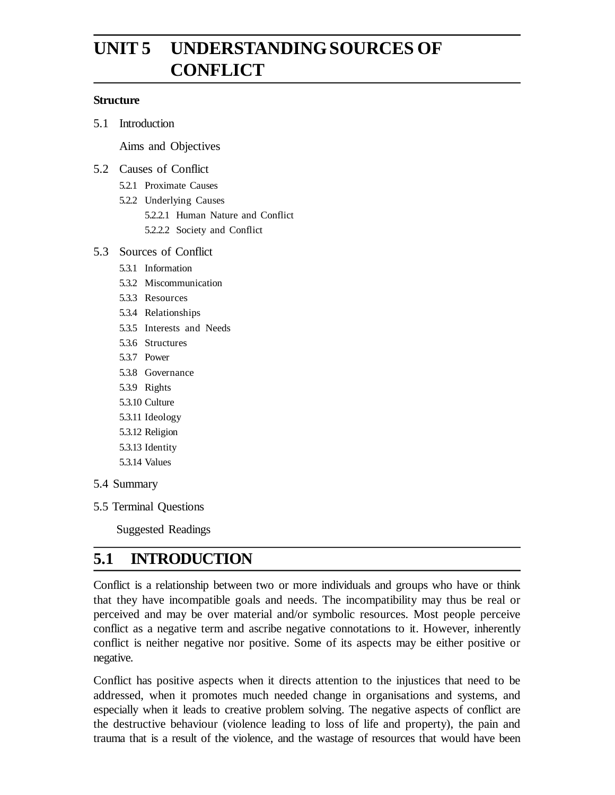# **UNIT 5 UNDERSTANDING SOURCES OF CONFLICT**

#### **Structure**

5.1 Introduction

Aims and Objectives

#### 5.2 Causes of Conflict

- 5.2.1 Proximate Causes
- 5.2.2 Underlying Causes
	- 5.2.2.1 Human Nature and Conflict
	- 5.2.2.2 Society and Conflict

#### 5.3 Sources of Conflict

- 5.3.1 Information
- 5.3.2 Miscommunication
- 5.3.3 Resources
- 5.3.4 Relationships
- 5.3.5 Interests and Needs
- 5.3.6 Structures
- 5.3.7 Power
- 5.3.8 Governance
- 5.3.9 Rights
- 5.3.10 Culture
- 5.3.11 Ideology
- 5.3.12 Religion
- 5.3.13 Identity
- 5.3.14 Values
- 5.4 Summary
- 5.5 Terminal Questions

Suggested Readings

# **5.1 INTRODUCTION**

Conflict is a relationship between two or more individuals and groups who have or think that they have incompatible goals and needs. The incompatibility may thus be real or perceived and may be over material and/or symbolic resources. Most people perceive conflict as a negative term and ascribe negative connotations to it. However, inherently conflict is neither negative nor positive. Some of its aspects may be either positive or negative.

Conflict has positive aspects when it directs attention to the injustices that need to be addressed, when it promotes much needed change in organisations and systems, and especially when it leads to creative problem solving. The negative aspects of conflict are the destructive behaviour (violence leading to loss of life and property), the pain and trauma that is a result of the violence, and the wastage of resources that would have been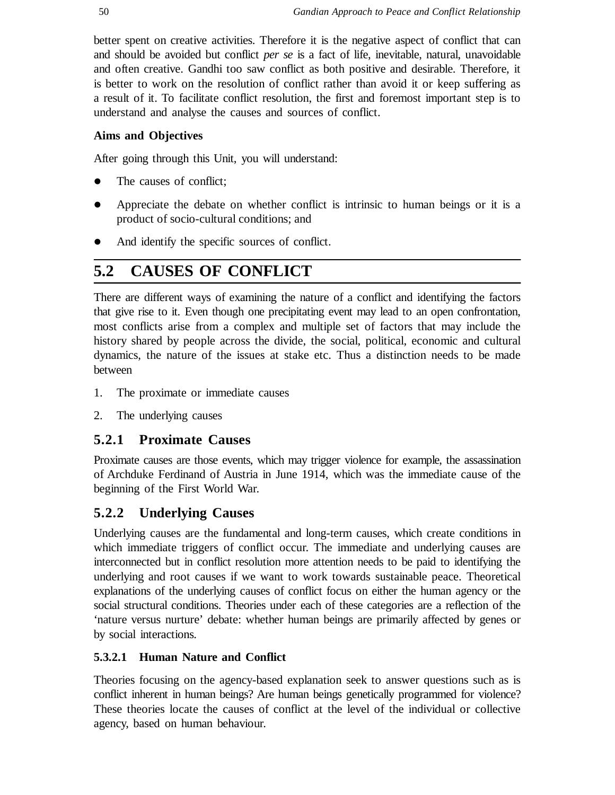better spent on creative activities. Therefore it is the negative aspect of conflict that can and should be avoided but conflict *per se* is a fact of life, inevitable, natural, unavoidable and often creative. Gandhi too saw conflict as both positive and desirable. Therefore, it is better to work on the resolution of conflict rather than avoid it or keep suffering as a result of it. To facilitate conflict resolution, the first and foremost important step is to understand and analyse the causes and sources of conflict.

#### **Aims and Objectives**

After going through this Unit, you will understand:

- The causes of conflict;
- Appreciate the debate on whether conflict is intrinsic to human beings or it is a product of socio-cultural conditions; and
- And identify the specific sources of conflict.

# **5.2 CAUSES OF CONFLICT**

There are different ways of examining the nature of a conflict and identifying the factors that give rise to it. Even though one precipitating event may lead to an open confrontation, most conflicts arise from a complex and multiple set of factors that may include the history shared by people across the divide, the social, political, economic and cultural dynamics, the nature of the issues at stake etc. Thus a distinction needs to be made between

- 1. The proximate or immediate causes
- 2. The underlying causes

### **5.2.1 Proximate Causes**

Proximate causes are those events, which may trigger violence for example, the assassination of Archduke Ferdinand of Austria in June 1914, which was the immediate cause of the beginning of the First World War.

### **5.2.2 Underlying Causes**

Underlying causes are the fundamental and long-term causes, which create conditions in which immediate triggers of conflict occur. The immediate and underlying causes are interconnected but in conflict resolution more attention needs to be paid to identifying the underlying and root causes if we want to work towards sustainable peace. Theoretical explanations of the underlying causes of conflict focus on either the human agency or the social structural conditions. Theories under each of these categories are a reflection of the 'nature versus nurture' debate: whether human beings are primarily affected by genes or by social interactions.

### **5.3.2.1 Human Nature and Conflict**

Theories focusing on the agency-based explanation seek to answer questions such as is conflict inherent in human beings? Are human beings genetically programmed for violence? These theories locate the causes of conflict at the level of the individual or collective agency, based on human behaviour.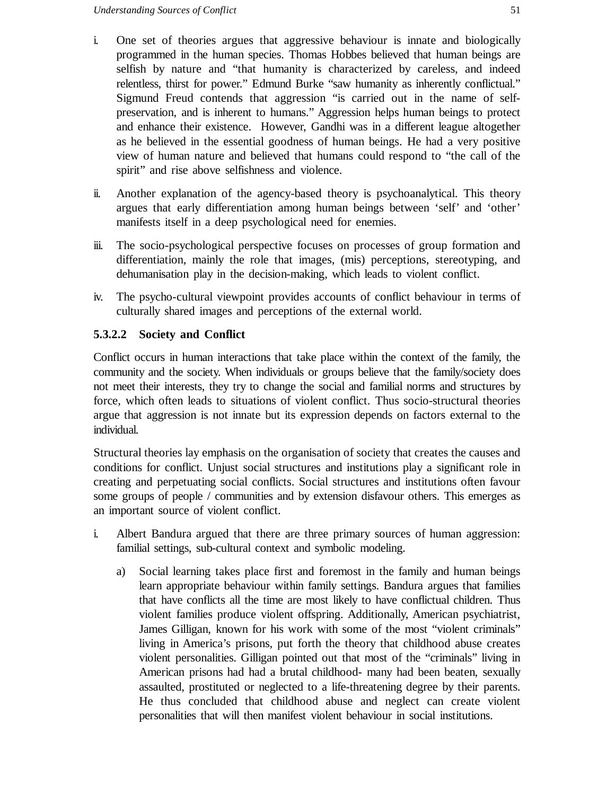- i. One set of theories argues that aggressive behaviour is innate and biologically programmed in the human species. Thomas Hobbes believed that human beings are selfish by nature and "that humanity is characterized by careless, and indeed relentless, thirst for power." Edmund Burke "saw humanity as inherently conflictual." Sigmund Freud contends that aggression "is carried out in the name of selfpreservation, and is inherent to humans." Aggression helps human beings to protect and enhance their existence. However, Gandhi was in a different league altogether as he believed in the essential goodness of human beings. He had a very positive view of human nature and believed that humans could respond to "the call of the spirit" and rise above selfishness and violence.
- ii. Another explanation of the agency-based theory is psychoanalytical. This theory argues that early differentiation among human beings between 'self' and 'other' manifests itself in a deep psychological need for enemies.
- iii. The socio-psychological perspective focuses on processes of group formation and differentiation, mainly the role that images, (mis) perceptions, stereotyping, and dehumanisation play in the decision-making, which leads to violent conflict.
- iv. The psycho-cultural viewpoint provides accounts of conflict behaviour in terms of culturally shared images and perceptions of the external world.

#### **5.3.2.2 Society and Conflict**

Conflict occurs in human interactions that take place within the context of the family, the community and the society. When individuals or groups believe that the family/society does not meet their interests, they try to change the social and familial norms and structures by force, which often leads to situations of violent conflict. Thus socio-structural theories argue that aggression is not innate but its expression depends on factors external to the individual.

Structural theories lay emphasis on the organisation of society that creates the causes and conditions for conflict. Unjust social structures and institutions play a significant role in creating and perpetuating social conflicts. Social structures and institutions often favour some groups of people / communities and by extension disfavour others. This emerges as an important source of violent conflict.

- i. Albert Bandura argued that there are three primary sources of human aggression: familial settings, sub-cultural context and symbolic modeling.
	- a) Social learning takes place first and foremost in the family and human beings learn appropriate behaviour within family settings. Bandura argues that families that have conflicts all the time are most likely to have conflictual children. Thus violent families produce violent offspring. Additionally, American psychiatrist, James Gilligan, known for his work with some of the most "violent criminals" living in America's prisons, put forth the theory that childhood abuse creates violent personalities. Gilligan pointed out that most of the "criminals" living in American prisons had had a brutal childhood- many had been beaten, sexually assaulted, prostituted or neglected to a life-threatening degree by their parents. He thus concluded that childhood abuse and neglect can create violent personalities that will then manifest violent behaviour in social institutions.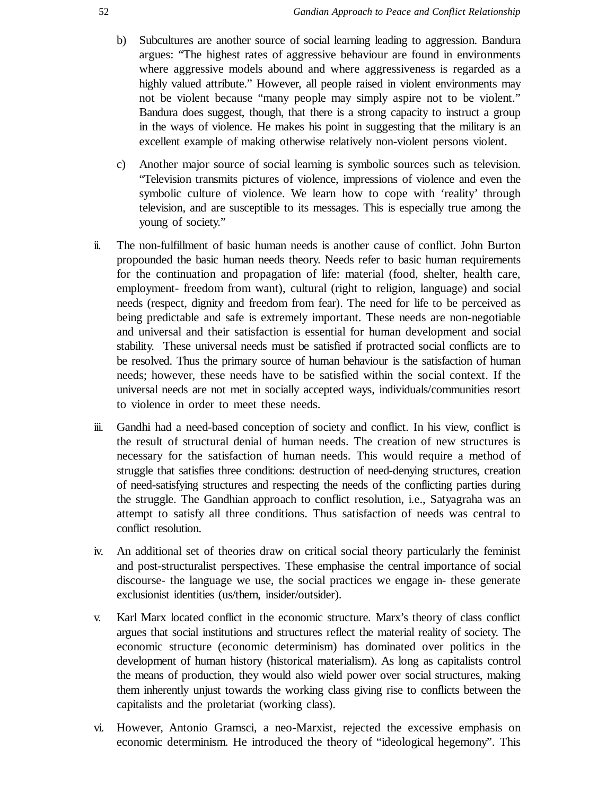- b) Subcultures are another source of social learning leading to aggression. Bandura argues: "The highest rates of aggressive behaviour are found in environments where aggressive models abound and where aggressiveness is regarded as a highly valued attribute." However, all people raised in violent environments may not be violent because "many people may simply aspire not to be violent." Bandura does suggest, though, that there is a strong capacity to instruct a group in the ways of violence. He makes his point in suggesting that the military is an excellent example of making otherwise relatively non-violent persons violent.
- c) Another major source of social learning is symbolic sources such as television. "Television transmits pictures of violence, impressions of violence and even the symbolic culture of violence. We learn how to cope with 'reality' through television, and are susceptible to its messages. This is especially true among the young of society."
- ii. The non-fulfillment of basic human needs is another cause of conflict. John Burton propounded the basic human needs theory. Needs refer to basic human requirements for the continuation and propagation of life: material (food, shelter, health care, employment- freedom from want), cultural (right to religion, language) and social needs (respect, dignity and freedom from fear). The need for life to be perceived as being predictable and safe is extremely important. These needs are non-negotiable and universal and their satisfaction is essential for human development and social stability. These universal needs must be satisfied if protracted social conflicts are to be resolved. Thus the primary source of human behaviour is the satisfaction of human needs; however, these needs have to be satisfied within the social context. If the universal needs are not met in socially accepted ways, individuals/communities resort to violence in order to meet these needs.
- iii. Gandhi had a need-based conception of society and conflict. In his view, conflict is the result of structural denial of human needs. The creation of new structures is necessary for the satisfaction of human needs. This would require a method of struggle that satisfies three conditions: destruction of need-denying structures, creation of need-satisfying structures and respecting the needs of the conflicting parties during the struggle. The Gandhian approach to conflict resolution, i.e., Satyagraha was an attempt to satisfy all three conditions. Thus satisfaction of needs was central to conflict resolution.
- iv. An additional set of theories draw on critical social theory particularly the feminist and post-structuralist perspectives. These emphasise the central importance of social discourse- the language we use, the social practices we engage in- these generate exclusionist identities (us/them, insider/outsider).
- v. Karl Marx located conflict in the economic structure. Marx's theory of class conflict argues that social institutions and structures reflect the material reality of society. The economic structure (economic determinism) has dominated over politics in the development of human history (historical materialism). As long as capitalists control the means of production, they would also wield power over social structures, making them inherently unjust towards the working class giving rise to conflicts between the capitalists and the proletariat (working class).
- vi. However, Antonio Gramsci, a neo-Marxist, rejected the excessive emphasis on economic determinism. He introduced the theory of "ideological hegemony". This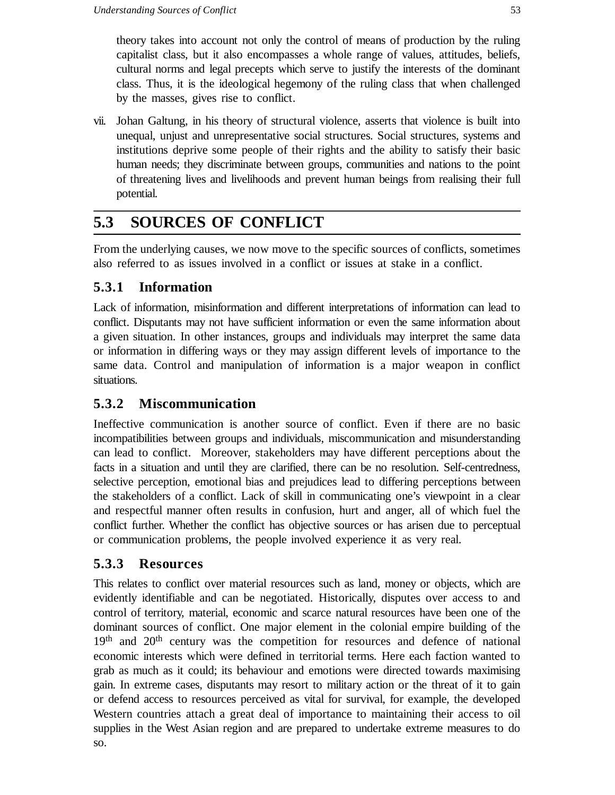theory takes into account not only the control of means of production by the ruling capitalist class, but it also encompasses a whole range of values, attitudes, beliefs, cultural norms and legal precepts which serve to justify the interests of the dominant class. Thus, it is the ideological hegemony of the ruling class that when challenged by the masses, gives rise to conflict.

vii. Johan Galtung, in his theory of structural violence, asserts that violence is built into unequal, unjust and unrepresentative social structures. Social structures, systems and institutions deprive some people of their rights and the ability to satisfy their basic human needs; they discriminate between groups, communities and nations to the point of threatening lives and livelihoods and prevent human beings from realising their full potential.

# **5.3 SOURCES OF CONFLICT**

From the underlying causes, we now move to the specific sources of conflicts, sometimes also referred to as issues involved in a conflict or issues at stake in a conflict.

# **5.3.1 Information**

Lack of information, misinformation and different interpretations of information can lead to conflict. Disputants may not have sufficient information or even the same information about a given situation. In other instances, groups and individuals may interpret the same data or information in differing ways or they may assign different levels of importance to the same data. Control and manipulation of information is a major weapon in conflict situations.

# **5.3.2 Miscommunication**

Ineffective communication is another source of conflict. Even if there are no basic incompatibilities between groups and individuals, miscommunication and misunderstanding can lead to conflict. Moreover, stakeholders may have different perceptions about the facts in a situation and until they are clarified, there can be no resolution. Self-centredness, selective perception, emotional bias and prejudices lead to differing perceptions between the stakeholders of a conflict. Lack of skill in communicating one's viewpoint in a clear and respectful manner often results in confusion, hurt and anger, all of which fuel the conflict further. Whether the conflict has objective sources or has arisen due to perceptual or communication problems, the people involved experience it as very real.

## **5.3.3 Resources**

This relates to conflict over material resources such as land, money or objects, which are evidently identifiable and can be negotiated. Historically, disputes over access to and control of territory, material, economic and scarce natural resources have been one of the dominant sources of conflict. One major element in the colonial empire building of the 19<sup>th</sup> and 20<sup>th</sup> century was the competition for resources and defence of national economic interests which were defined in territorial terms. Here each faction wanted to grab as much as it could; its behaviour and emotions were directed towards maximising gain. In extreme cases, disputants may resort to military action or the threat of it to gain or defend access to resources perceived as vital for survival, for example, the developed Western countries attach a great deal of importance to maintaining their access to oil supplies in the West Asian region and are prepared to undertake extreme measures to do so.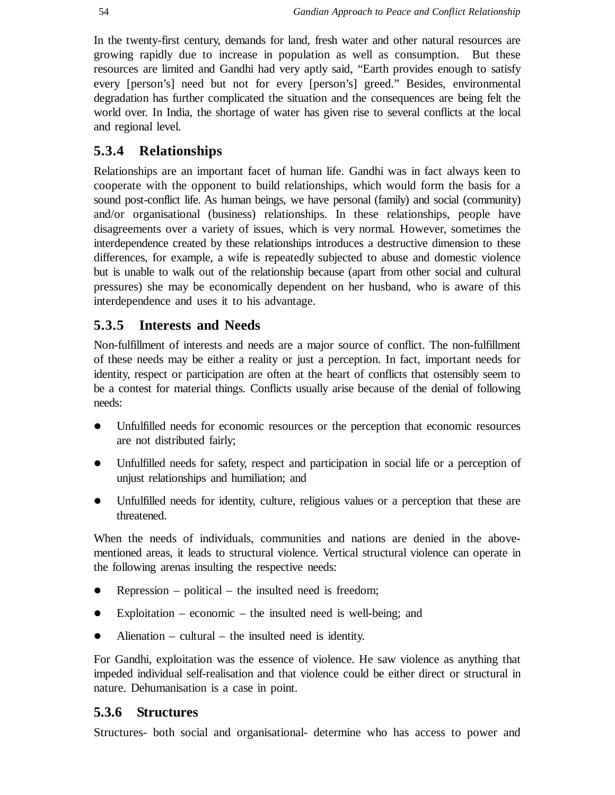In the twenty-first century, demands for land, fresh water and other natural resources are growing rapidly due to increase in population as well as consumption. But these resources are limited and Gandhi had very aptly said, "Earth provides enough to satisfy every [person's] need but not for every [person's] greed." Besides, environmental degradation has further complicated the situation and the consequences are being felt the world over. In India, the shortage of water has given rise to several conflicts at the local and regional level.

### **5.3.4 Relationships**

Relationships are an important facet of human life. Gandhi was in fact always keen to cooperate with the opponent to build relationships, which would form the basis for a sound post-conflict life. As human beings, we have personal (family) and social (community) and/or organisational (business) relationships. In these relationships, people have disagreements over a variety of issues, which is very normal. However, sometimes the interdependence created by these relationships introduces a destructive dimension to these differences, for example, a wife is repeatedly subjected to abuse and domestic violence but is unable to walk out of the relationship because (apart from other social and cultural pressures) she may be economically dependent on her husband, who is aware of this interdependence and uses it to his advantage.

#### **5.3.5 Interests and Needs**

Non-fulfillment of interests and needs are a major source of conflict. The non-fulfillment of these needs may be either a reality or just a perception. In fact, important needs for identity, respect or participation are often at the heart of conflicts that ostensibly seem to be a contest for material things. Conflicts usually arise because of the denial of following needs:

- Unfulfilled needs for economic resources or the perception that economic resources are not distributed fairly;
- Unfulfilled needs for safety, respect and participation in social life or a perception of unjust relationships and humiliation; and
- Unfulfilled needs for identity, culture, religious values or a perception that these are threatened.

When the needs of individuals, communities and nations are denied in the abovementioned areas, it leads to structural violence. Vertical structural violence can operate in the following arenas insulting the respective needs:

- Repression political the insulted need is freedom;
- Exploitation economic the insulted need is well-being; and
- Alienation cultural the insulted need is identity.

For Gandhi, exploitation was the essence of violence. He saw violence as anything that impeded individual self-realisation and that violence could be either direct or structural in nature. Dehumanisation is a case in point.

#### **5.3.6 Structures**

Structures- both social and organisational- determine who has access to power and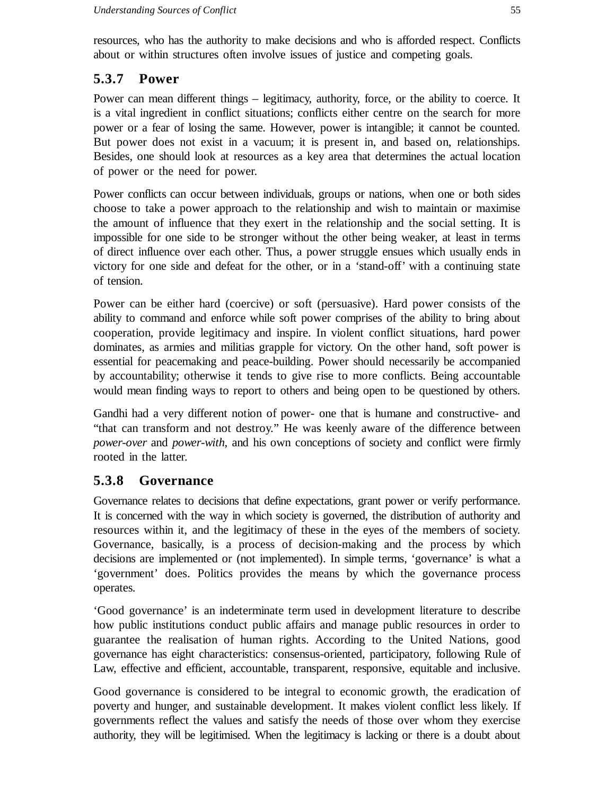resources, who has the authority to make decisions and who is afforded respect. Conflicts about or within structures often involve issues of justice and competing goals.

# **5.3.7 Power**

Power can mean different things – legitimacy, authority, force, or the ability to coerce. It is a vital ingredient in conflict situations; conflicts either centre on the search for more power or a fear of losing the same. However, power is intangible; it cannot be counted. But power does not exist in a vacuum; it is present in, and based on, relationships. Besides, one should look at resources as a key area that determines the actual location of power or the need for power.

Power conflicts can occur between individuals, groups or nations, when one or both sides choose to take a power approach to the relationship and wish to maintain or maximise the amount of influence that they exert in the relationship and the social setting. It is impossible for one side to be stronger without the other being weaker, at least in terms of direct influence over each other. Thus, a power struggle ensues which usually ends in victory for one side and defeat for the other, or in a 'stand-off' with a continuing state of tension.

Power can be either hard (coercive) or soft (persuasive). Hard power consists of the ability to command and enforce while soft power comprises of the ability to bring about cooperation, provide legitimacy and inspire. In violent conflict situations, hard power dominates, as armies and militias grapple for victory. On the other hand, soft power is essential for peacemaking and peace-building. Power should necessarily be accompanied by accountability; otherwise it tends to give rise to more conflicts. Being accountable would mean finding ways to report to others and being open to be questioned by others.

Gandhi had a very different notion of power- one that is humane and constructive- and "that can transform and not destroy." He was keenly aware of the difference between *power-over* and *power-with*, and his own conceptions of society and conflict were firmly rooted in the latter.

## **5.3.8 Governance**

Governance relates to decisions that define expectations, grant power or verify performance. It is concerned with the way in which society is governed, the distribution of authority and resources within it, and the legitimacy of these in the eyes of the members of society. Governance, basically, is a process of decision-making and the process by which decisions are implemented or (not implemented). In simple terms, 'governance' is what a 'government' does. Politics provides the means by which the governance process operates.

'Good governance' is an indeterminate term used in development literature to describe how public institutions conduct public affairs and manage public resources in order to guarantee the realisation of human rights. According to the United Nations, good governance has eight characteristics: consensus-oriented, participatory, following Rule of Law, effective and efficient, accountable, transparent, responsive, equitable and inclusive.

Good governance is considered to be integral to economic growth, the eradication of poverty and hunger, and sustainable development. It makes violent conflict less likely. If governments reflect the values and satisfy the needs of those over whom they exercise authority, they will be legitimised. When the legitimacy is lacking or there is a doubt about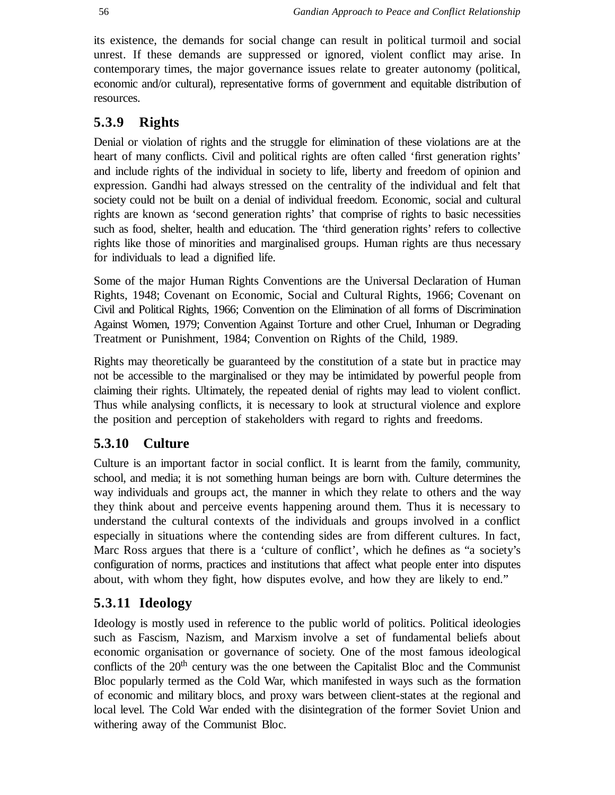its existence, the demands for social change can result in political turmoil and social unrest. If these demands are suppressed or ignored, violent conflict may arise. In contemporary times, the major governance issues relate to greater autonomy (political, economic and/or cultural), representative forms of government and equitable distribution of resources.

## **5.3.9 Rights**

Denial or violation of rights and the struggle for elimination of these violations are at the heart of many conflicts. Civil and political rights are often called 'first generation rights' and include rights of the individual in society to life, liberty and freedom of opinion and expression. Gandhi had always stressed on the centrality of the individual and felt that society could not be built on a denial of individual freedom. Economic, social and cultural rights are known as 'second generation rights' that comprise of rights to basic necessities such as food, shelter, health and education. The 'third generation rights' refers to collective rights like those of minorities and marginalised groups. Human rights are thus necessary for individuals to lead a dignified life.

Some of the major Human Rights Conventions are the Universal Declaration of Human Rights, 1948; Covenant on Economic, Social and Cultural Rights, 1966; Covenant on Civil and Political Rights, 1966; Convention on the Elimination of all forms of Discrimination Against Women, 1979; Convention Against Torture and other Cruel, Inhuman or Degrading Treatment or Punishment, 1984; Convention on Rights of the Child, 1989.

Rights may theoretically be guaranteed by the constitution of a state but in practice may not be accessible to the marginalised or they may be intimidated by powerful people from claiming their rights. Ultimately, the repeated denial of rights may lead to violent conflict. Thus while analysing conflicts, it is necessary to look at structural violence and explore the position and perception of stakeholders with regard to rights and freedoms.

## **5.3.10 Culture**

Culture is an important factor in social conflict. It is learnt from the family, community, school, and media; it is not something human beings are born with. Culture determines the way individuals and groups act, the manner in which they relate to others and the way they think about and perceive events happening around them. Thus it is necessary to understand the cultural contexts of the individuals and groups involved in a conflict especially in situations where the contending sides are from different cultures. In fact, Marc Ross argues that there is a 'culture of conflict', which he defines as "a society's configuration of norms, practices and institutions that affect what people enter into disputes about, with whom they fight, how disputes evolve, and how they are likely to end."

## **5.3.11 Ideology**

Ideology is mostly used in reference to the public world of politics. Political ideologies such as Fascism, Nazism, and Marxism involve a set of fundamental beliefs about economic organisation or governance of society. One of the most famous ideological conflicts of the  $20<sup>th</sup>$  century was the one between the Capitalist Bloc and the Communist Bloc popularly termed as the Cold War, which manifested in ways such as the formation of economic and military blocs, and proxy wars between client-states at the regional and local level. The Cold War ended with the disintegration of the former Soviet Union and withering away of the Communist Bloc.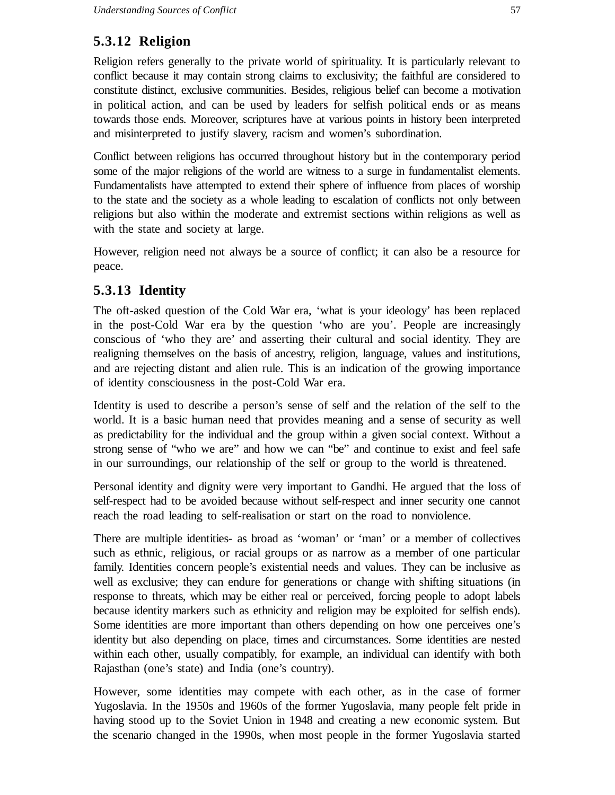## **5.3.12 Religion**

Religion refers generally to the private world of spirituality. It is particularly relevant to conflict because it may contain strong claims to exclusivity; the faithful are considered to constitute distinct, exclusive communities. Besides, religious belief can become a motivation in political action, and can be used by leaders for selfish political ends or as means towards those ends. Moreover, scriptures have at various points in history been interpreted and misinterpreted to justify slavery, racism and women's subordination.

Conflict between religions has occurred throughout history but in the contemporary period some of the major religions of the world are witness to a surge in fundamentalist elements. Fundamentalists have attempted to extend their sphere of influence from places of worship to the state and the society as a whole leading to escalation of conflicts not only between religions but also within the moderate and extremist sections within religions as well as with the state and society at large.

However, religion need not always be a source of conflict; it can also be a resource for peace.

## **5.3.13 Identity**

The oft-asked question of the Cold War era, 'what is your ideology' has been replaced in the post-Cold War era by the question 'who are you'. People are increasingly conscious of 'who they are' and asserting their cultural and social identity. They are realigning themselves on the basis of ancestry, religion, language, values and institutions, and are rejecting distant and alien rule. This is an indication of the growing importance of identity consciousness in the post-Cold War era.

Identity is used to describe a person's sense of self and the relation of the self to the world. It is a basic human need that provides meaning and a sense of security as well as predictability for the individual and the group within a given social context. Without a strong sense of "who we are" and how we can "be" and continue to exist and feel safe in our surroundings, our relationship of the self or group to the world is threatened.

Personal identity and dignity were very important to Gandhi. He argued that the loss of self-respect had to be avoided because without self-respect and inner security one cannot reach the road leading to self-realisation or start on the road to nonviolence.

There are multiple identities- as broad as 'woman' or 'man' or a member of collectives such as ethnic, religious, or racial groups or as narrow as a member of one particular family. Identities concern people's existential needs and values. They can be inclusive as well as exclusive; they can endure for generations or change with shifting situations (in response to threats, which may be either real or perceived, forcing people to adopt labels because identity markers such as ethnicity and religion may be exploited for selfish ends). Some identities are more important than others depending on how one perceives one's identity but also depending on place, times and circumstances. Some identities are nested within each other, usually compatibly, for example, an individual can identify with both Rajasthan (one's state) and India (one's country).

However, some identities may compete with each other, as in the case of former Yugoslavia. In the 1950s and 1960s of the former Yugoslavia, many people felt pride in having stood up to the Soviet Union in 1948 and creating a new economic system. But the scenario changed in the 1990s, when most people in the former Yugoslavia started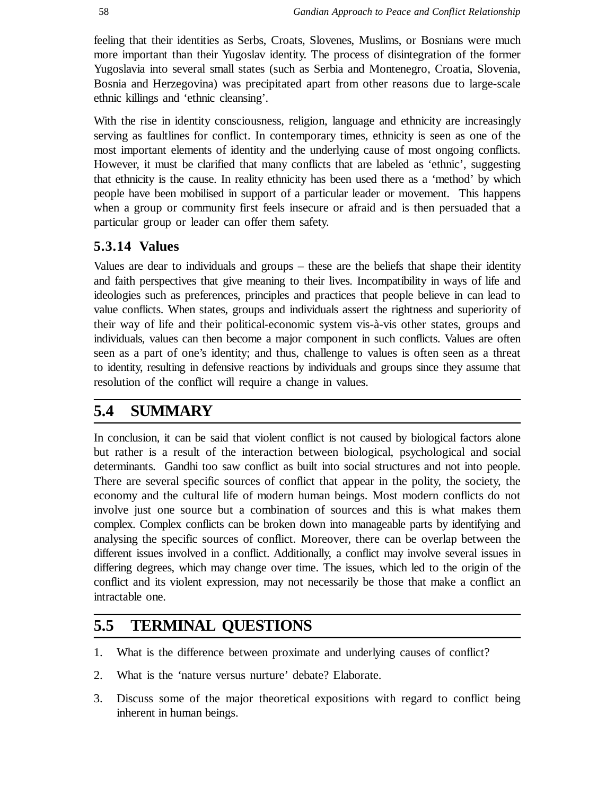feeling that their identities as Serbs, Croats, Slovenes, Muslims, or Bosnians were much more important than their Yugoslav identity. The process of disintegration of the former Yugoslavia into several small states (such as Serbia and Montenegro, Croatia, Slovenia, Bosnia and Herzegovina) was precipitated apart from other reasons due to large-scale ethnic killings and 'ethnic cleansing'.

With the rise in identity consciousness, religion, language and ethnicity are increasingly serving as faultlines for conflict. In contemporary times, ethnicity is seen as one of the most important elements of identity and the underlying cause of most ongoing conflicts. However, it must be clarified that many conflicts that are labeled as 'ethnic', suggesting that ethnicity is the cause. In reality ethnicity has been used there as a 'method' by which people have been mobilised in support of a particular leader or movement. This happens when a group or community first feels insecure or afraid and is then persuaded that a particular group or leader can offer them safety.

### **5.3.14 Values**

Values are dear to individuals and groups – these are the beliefs that shape their identity and faith perspectives that give meaning to their lives. Incompatibility in ways of life and ideologies such as preferences, principles and practices that people believe in can lead to value conflicts. When states, groups and individuals assert the rightness and superiority of their way of life and their political-economic system vis-à-vis other states, groups and individuals, values can then become a major component in such conflicts. Values are often seen as a part of one's identity; and thus, challenge to values is often seen as a threat to identity, resulting in defensive reactions by individuals and groups since they assume that resolution of the conflict will require a change in values.

# **5.4 SUMMARY**

In conclusion, it can be said that violent conflict is not caused by biological factors alone but rather is a result of the interaction between biological, psychological and social determinants.Gandhi too saw conflict as built into social structures and not into people. There are several specific sources of conflict that appear in the polity, the society, the economy and the cultural life of modern human beings. Most modern conflicts do not involve just one source but a combination of sources and this is what makes them complex. Complex conflicts can be broken down into manageable parts by identifying and analysing the specific sources of conflict. Moreover, there can be overlap between the different issues involved in a conflict. Additionally, a conflict may involve several issues in differing degrees, which may change over time. The issues, which led to the origin of the conflict and its violent expression, may not necessarily be those that make a conflict an intractable one.

# **5.5 TERMINAL QUESTIONS**

- 1. What is the difference between proximate and underlying causes of conflict?
- 2. What is the 'nature versus nurture' debate? Elaborate.
- 3. Discuss some of the major theoretical expositions with regard to conflict being inherent in human beings.